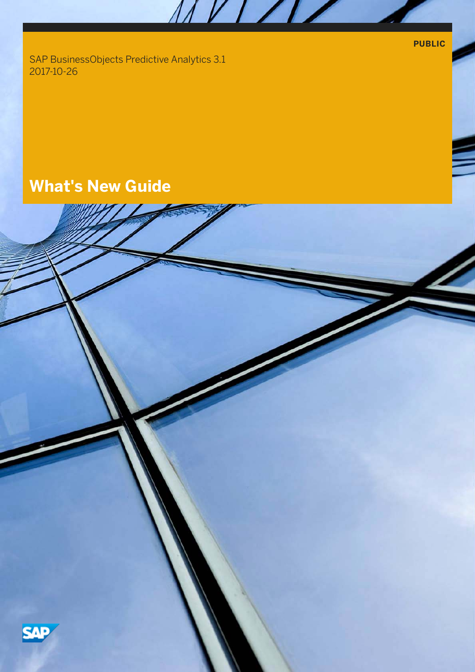**PUBLIC**

SAP BusinessObjects Predictive Analytics 3.1 2017-10-26

# **What's New Guide**



MVI/II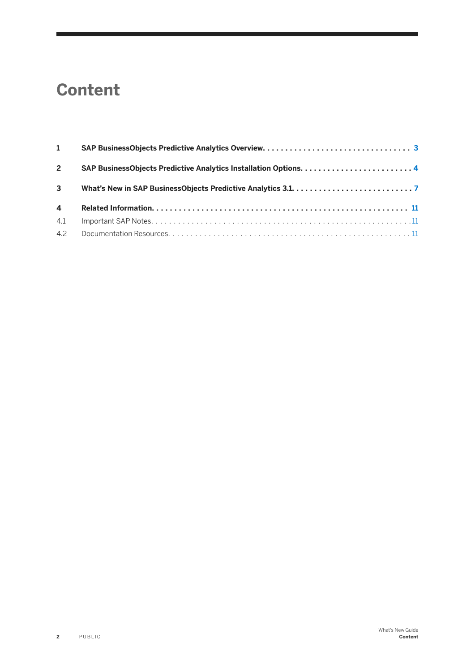# **Content**

| $\mathbf{1}$   |  |
|----------------|--|
| $2^{\circ}$    |  |
| $\mathbf{3}$   |  |
| $\overline{4}$ |  |
| 4.1            |  |
|                |  |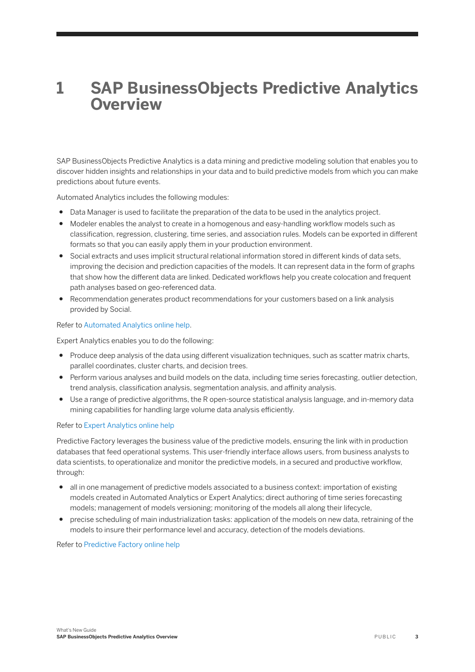## <span id="page-2-0"></span>**1 SAP BusinessObjects Predictive Analytics Overview**

SAP BusinessObjects Predictive Analytics is a data mining and predictive modeling solution that enables you to discover hidden insights and relationships in your data and to build predictive models from which you can make predictions about future events.

Automated Analytics includes the following modules:

- Data Manager is used to facilitate the preparation of the data to be used in the analytics project.
- Modeler enables the analyst to create in a homogenous and easy-handling workflow models such as classification, regression, clustering, time series, and association rules. Models can be exported in different formats so that you can easily apply them in your production environment.
- Social extracts and uses implicit structural relational information stored in different kinds of data sets, improving the decision and prediction capacities of the models. It can represent data in the form of graphs that show how the different data are linked. Dedicated workflows help you create colocation and frequent path analyses based on geo-referenced data.
- Recommendation generates product recommendations for your customers based on a link analysis provided by Social.

#### Refer to [Automated Analytics online help.](https://uacp2.hana.ondemand.com/viewer/#/c36bc49d7cce4d35a2099aecdea81e2c/3.1/en-US)

Expert Analytics enables you to do the following:

- Produce deep analysis of the data using different visualization techniques, such as scatter matrix charts, parallel coordinates, cluster charts, and decision trees.
- Perform various analyses and build models on the data, including time series forecasting, outlier detection, trend analysis, classification analysis, segmentation analysis, and affinity analysis.
- Use a range of predictive algorithms, the R open-source statistical analysis language, and in-memory data mining capabilities for handling large volume data analysis efficiently.

#### Refer to [Expert Analytics online help](https://uacp2.hana.ondemand.com/viewer/#/94dbf2ba9d4047618880187451c3b253/3.1/en-US)

Predictive Factory leverages the business value of the predictive models, ensuring the link with in production databases that feed operational systems. This user-friendly interface allows users, from business analysts to data scientists, to operationalize and monitor the predictive models, in a secured and productive workflow, through:

- all in one management of predictive models associated to a business context: importation of existing models created in Automated Analytics or Expert Analytics; direct authoring of time series forecasting models; management of models versioning; monitoring of the models all along their lifecycle,
- precise scheduling of main industrialization tasks: application of the models on new data, retraining of the models to insure their performance level and accuracy, detection of the models deviations.

Refer to [Predictive Factory online help](https://uacp2.hana.ondemand.com/viewer/#/41d1a6d4e7574e32b815f1cc87c00f42/3.1/en-US)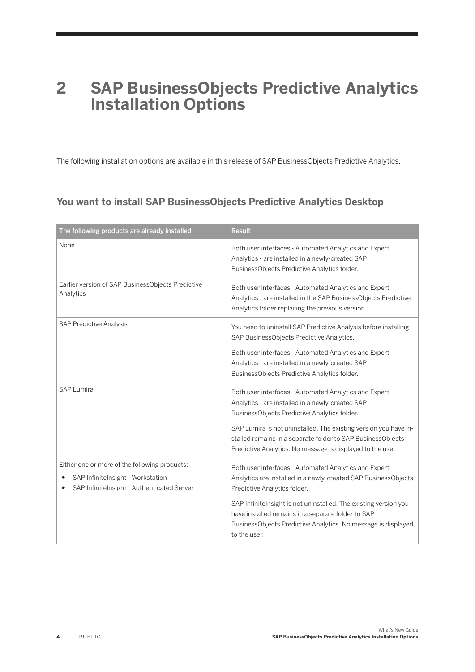## <span id="page-3-0"></span>**2 SAP BusinessObjects Predictive Analytics Installation Options**

The following installation options are available in this release of SAP BusinessObjects Predictive Analytics.

## **You want to install SAP BusinessObjects Predictive Analytics Desktop**

| The following products are already installed                                                                                                  | <b>Result</b>                                                                                                                                                                                                                                                                                                                                                      |
|-----------------------------------------------------------------------------------------------------------------------------------------------|--------------------------------------------------------------------------------------------------------------------------------------------------------------------------------------------------------------------------------------------------------------------------------------------------------------------------------------------------------------------|
| None                                                                                                                                          | Both user interfaces - Automated Analytics and Expert<br>Analytics - are installed in a newly-created SAP<br>BusinessObjects Predictive Analytics folder.                                                                                                                                                                                                          |
| Earlier version of SAP BusinessObjects Predictive<br>Analytics                                                                                | Both user interfaces - Automated Analytics and Expert<br>Analytics - are installed in the SAP BusinessObjects Predictive<br>Analytics folder replacing the previous version.                                                                                                                                                                                       |
| <b>SAP Predictive Analysis</b>                                                                                                                | You need to uninstall SAP Predictive Analysis before installing<br>SAP BusinessObjects Predictive Analytics.<br>Both user interfaces - Automated Analytics and Expert<br>Analytics - are installed in a newly-created SAP<br>BusinessObjects Predictive Analytics folder.                                                                                          |
| <b>SAP Lumira</b>                                                                                                                             | Both user interfaces - Automated Analytics and Expert<br>Analytics - are installed in a newly-created SAP<br>BusinessObjects Predictive Analytics folder.<br>SAP Lumira is not uninstalled. The existing version you have in-<br>stalled remains in a separate folder to SAP BusinessObjects<br>Predictive Analytics. No message is displayed to the user.         |
| Either one or more of the following products:<br>SAP InfiniteInsight - Workstation<br>$\bullet$<br>SAP InfiniteInsight - Authenticated Server | Both user interfaces - Automated Analytics and Expert<br>Analytics are installed in a newly-created SAP BusinessObjects<br>Predictive Analytics folder.<br>SAP InfiniteInsight is not uninstalled. The existing version you<br>have installed remains in a separate folder to SAP<br>BusinessObjects Predictive Analytics. No message is displayed<br>to the user. |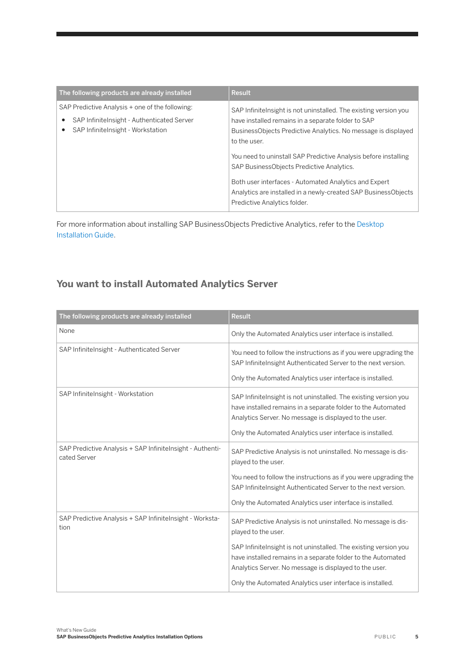| The following products are already installed                                                                                       | Result                                                                                                                                                                                                                                                                                                                                                                                                                                                                              |
|------------------------------------------------------------------------------------------------------------------------------------|-------------------------------------------------------------------------------------------------------------------------------------------------------------------------------------------------------------------------------------------------------------------------------------------------------------------------------------------------------------------------------------------------------------------------------------------------------------------------------------|
| SAP Predictive Analysis + one of the following:<br>SAP InfiniteInsight - Authenticated Server<br>SAP Infinitelnsight - Workstation | SAP Infinitelnsight is not uninstalled. The existing version you<br>have installed remains in a separate folder to SAP<br>Business Objects Predictive Analytics. No message is displayed<br>to the user.<br>You need to uninstall SAP Predictive Analysis before installing<br>SAP BusinessObjects Predictive Analytics.<br>Both user interfaces - Automated Analytics and Expert<br>Analytics are installed in a newly-created SAP BusinessObjects<br>Predictive Analytics folder. |

For more information about installing SAP BusinessObjects Predictive Analytics, refer to the [Desktop](https://uacp2.hana.ondemand.com/viewer/#/f2ba2229f63148ef862cf2ef28e981eb/3.1/en-US) [Installation Guide.](https://uacp2.hana.ondemand.com/viewer/#/f2ba2229f63148ef862cf2ef28e981eb/3.1/en-US)

### **You want to install Automated Analytics Server**

| The following products are already installed                              | <b>Result</b>                                                                                                                                                                                                                                                                                                                                    |
|---------------------------------------------------------------------------|--------------------------------------------------------------------------------------------------------------------------------------------------------------------------------------------------------------------------------------------------------------------------------------------------------------------------------------------------|
| None                                                                      | Only the Automated Analytics user interface is installed.                                                                                                                                                                                                                                                                                        |
| SAP InfiniteInsight - Authenticated Server                                | You need to follow the instructions as if you were upgrading the<br>SAP InfiniteInsight Authenticated Server to the next version.<br>Only the Automated Analytics user interface is installed.                                                                                                                                                   |
| SAP InfiniteInsight - Workstation                                         | SAP Infinitelnsight is not uninstalled. The existing version you<br>have installed remains in a separate folder to the Automated<br>Analytics Server. No message is displayed to the user.<br>Only the Automated Analytics user interface is installed.                                                                                          |
| SAP Predictive Analysis + SAP Infinitelnsight - Authenti-<br>cated Server | SAP Predictive Analysis is not uninstalled. No message is dis-<br>played to the user.<br>You need to follow the instructions as if you were upgrading the<br>SAP InfiniteInsight Authenticated Server to the next version.<br>Only the Automated Analytics user interface is installed.                                                          |
| SAP Predictive Analysis + SAP InfiniteInsight - Worksta-<br>tion          | SAP Predictive Analysis is not uninstalled. No message is dis-<br>played to the user.<br>SAP Infinitelnsight is not uninstalled. The existing version you<br>have installed remains in a separate folder to the Automated<br>Analytics Server. No message is displayed to the user.<br>Only the Automated Analytics user interface is installed. |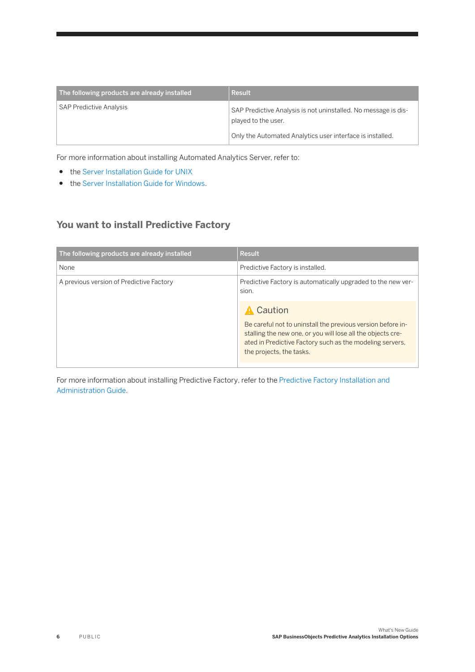| The following products are already installed | Result                                                                                |
|----------------------------------------------|---------------------------------------------------------------------------------------|
| <b>SAP Predictive Analysis</b>               | SAP Predictive Analysis is not uninstalled. No message is dis-<br>played to the user. |
|                                              | Only the Automated Analytics user interface is installed.                             |

For more information about installing Automated Analytics Server, refer to:

- the [Server Installation Guide for UNIX](https://uacp2.hana.ondemand.com/viewer/#/d1469c16b1ed48bcb589c3a3f828cbc4/3.1/en-US)
- th[e Server Installation Guide for Windows.](https://uacp2.hana.ondemand.com/viewer/#/43da83c5aeb34789a480ae061e62c570/3.1/en-US)

## **You want to install Predictive Factory**

| The following products are already installed | <b>Result</b>                                                                                                                                                                                                                 |
|----------------------------------------------|-------------------------------------------------------------------------------------------------------------------------------------------------------------------------------------------------------------------------------|
| None                                         | Predictive Factory is installed.                                                                                                                                                                                              |
| A previous version of Predictive Factory     | Predictive Factory is automatically upgraded to the new ver-<br>sion.                                                                                                                                                         |
|                                              | Caution<br>Be careful not to uninstall the previous version before in-<br>stalling the new one, or you will lose all the objects cre-<br>ated in Predictive Factory such as the modeling servers,<br>the projects, the tasks. |

For more information about installing Predictive Factory, refer to the [Predictive Factory Installation and](https://uacp2.hana.ondemand.com/viewer/#/9ddb9e96e685465d9ccd211d4029854b/3.1/en-US)  [Administration Guide.](https://uacp2.hana.ondemand.com/viewer/#/9ddb9e96e685465d9ccd211d4029854b/3.1/en-US)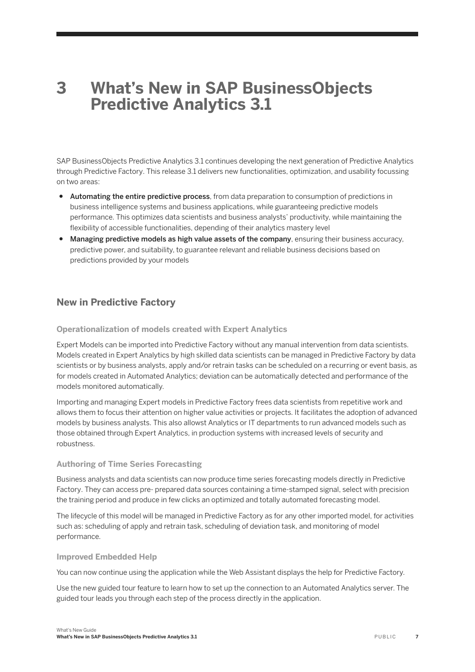## <span id="page-6-0"></span>**3 What's New in SAP BusinessObjects Predictive Analytics 3.1**

SAP BusinessObjects Predictive Analytics 3.1 continues developing the next generation of Predictive Analytics through Predictive Factory. This release 3.1 delivers new functionalities, optimization, and usability focussing on two areas:

- Automating the entire predictive process, from data preparation to consumption of predictions in business intelligence systems and business applications, while guaranteeing predictive models performance. This optimizes data scientists and business analysts' productivity, while maintaining the flexibility of accessible functionalities, depending of their analytics mastery level
- Managing predictive models as high value assets of the company, ensuring their business accuracy, predictive power, and suitability, to guarantee relevant and reliable business decisions based on predictions provided by your models

## **New in Predictive Factory**

#### **Operationalization of models created with Expert Analytics**

Expert Models can be imported into Predictive Factory without any manual intervention from data scientists. Models created in Expert Analytics by high skilled data scientists can be managed in Predictive Factory by data scientists or by business analysts, apply and/or retrain tasks can be scheduled on a recurring or event basis, as for models created in Automated Analytics; deviation can be automatically detected and performance of the models monitored automatically.

Importing and managing Expert models in Predictive Factory frees data scientists from repetitive work and allows them to focus their attention on higher value activities or projects. It facilitates the adoption of advanced models by business analysts. This also allowst Analytics or IT departments to run advanced models such as those obtained through Expert Analytics, in production systems with increased levels of security and robustness.

#### **Authoring of Time Series Forecasting**

Business analysts and data scientists can now produce time series forecasting models directly in Predictive Factory. They can access pre- prepared data sources containing a time-stamped signal, select with precision the training period and produce in few clicks an optimized and totally automated forecasting model.

The lifecycle of this model will be managed in Predictive Factory as for any other imported model, for activities such as: scheduling of apply and retrain task, scheduling of deviation task, and monitoring of model performance.

#### **Improved Embedded Help**

You can now continue using the application while the Web Assistant displays the help for Predictive Factory.

Use the new guided tour feature to learn how to set up the connection to an Automated Analytics server. The guided tour leads you through each step of the process directly in the application.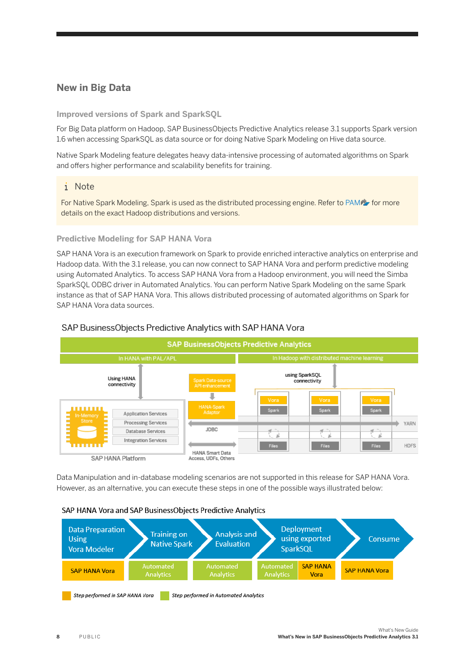### **New in Big Data**

**Improved versions of Spark and SparkSQL**

For Big Data platform on Hadoop, SAP BusinessObjects Predictive Analytics release 3.1 supports Spark version 1.6 when accessing SparkSQL as data source or for doing Native Spark Modeling on Hive data source.

Native Spark Modeling feature delegates heavy data-intensive processing of automated algorithms on Spark and offers higher performance and scalability benefits for training.

#### i Note

For Native Spark Modeling, Spark is used as the distributed processing engine. Refer to [PAM](http://help.sap.com/disclaimer?site=https://apps.support.sap.com/sap/support/pam?hash=pvnr%3D73554900100900000681%26pt%3Dg%257Cd) for more details on the exact Hadoop distributions and versions.

#### **Predictive Modeling for SAP HANA Vora**

SAP HANA Vora is an execution framework on Spark to provide enriched interactive analytics on enterprise and Hadoop data. With the 3.1 release, you can now connect to SAP HANA Vora and perform predictive modeling using Automated Analytics. To access SAP HANA Vora from a Hadoop environment, you will need the Simba SparkSQL ODBC driver in Automated Analytics. You can perform Native Spark Modeling on the same Spark instance as that of SAP HANA Vora. This allows distributed processing of automated algorithms on Spark for SAP HANA Vora data sources.



#### SAP BusinessObjects Predictive Analytics with SAP HANA Vora

Data Manipulation and in-database modeling scenarios are not supported in this release for SAP HANA Vora. However, as an alternative, you can execute these steps in one of the possible ways illustrated below:

#### SAP HANA Vora and SAP BusinessObjects Predictive Analytics

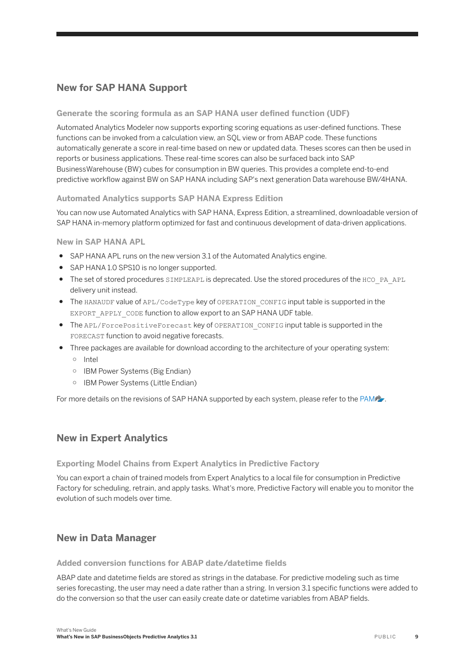### **New for SAP HANA Support**

#### **Generate the scoring formula as an SAP HANA user defined function (UDF)**

Automated Analytics Modeler now supports exporting scoring equations as user-defined functions. These functions can be invoked from a calculation view, an SQL view or from ABAP code. These functions automatically generate a score in real-time based on new or updated data. Theses scores can then be used in reports or business applications. These real-time scores can also be surfaced back into SAP BusinessWarehouse (BW) cubes for consumption in BW queries. This provides a complete end-to-end predictive workflow against BW on SAP HANA including SAP's next generation Data warehouse BW/4HANA.

#### **Automated Analytics supports SAP HANA Express Edition**

You can now use Automated Analytics with SAP HANA, Express Edition, a streamlined, downloadable version of SAP HANA in-memory platform optimized for fast and continuous development of data-driven applications.

**New in SAP HANA APL**

- SAP HANA APL runs on the new version 3.1 of the Automated Analytics engine.
- SAP HANA 1.0 SPS10 is no longer supported.
- The set of stored procedures SIMPLEAPL is deprecated. Use the stored procedures of the HCO\_PA\_APL delivery unit instead.
- The HANAUDF value of APL/CodeType key of OPERATION\_CONFIG input table is supported in the EXPORT\_APPLY\_CODE function to allow export to an SAP HANA UDF table.
- The APL/ForcePositiveForecast key of OPERATION\_CONFIG input table is supported in the FORECAST function to avoid negative forecasts.
- Three packages are available for download according to the architecture of your operating system: ○ Intel
	- IBM Power Systems (Big Endian)
	- IBM Power Systems (Little Endian)

For more details on the revisions of SAP HANA supported by each system, please refer to the [PAM](http://help.sap.com/disclaimer?site=https://apps.support.sap.com/sap/support/pam?hash=pvnr%3D73554900100900000681%26pt%3Dg%257Cd) ...

#### **New in Expert Analytics**

**Exporting Model Chains from Expert Analytics in Predictive Factory**

You can export a chain of trained models from Expert Analytics to a local file for consumption in Predictive Factory for scheduling, retrain, and apply tasks. What's more, Predictive Factory will enable you to monitor the evolution of such models over time.

#### **New in Data Manager**

#### **Added conversion functions for ABAP date/datetime fields**

ABAP date and datetime fields are stored as strings in the database. For predictive modeling such as time series forecasting, the user may need a date rather than a string. In version 3.1 specific functions were added to do the conversion so that the user can easily create date or datetime variables from ABAP fields.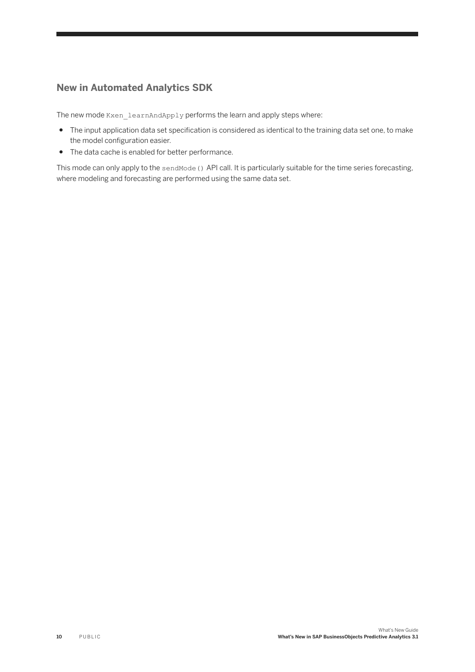### **New in Automated Analytics SDK**

The new mode Kxen learnAndApply performs the learn and apply steps where:

- The input application data set specification is considered as identical to the training data set one, to make the model configuration easier.
- The data cache is enabled for better performance.

This mode can only apply to the sendMode () API call. It is particularly suitable for the time series forecasting, where modeling and forecasting are performed using the same data set.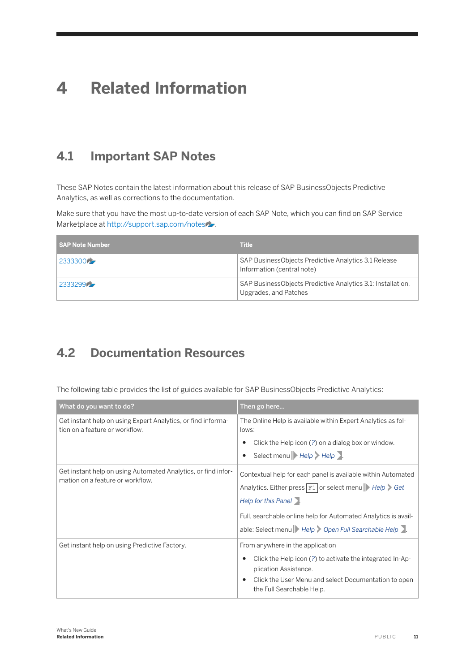## <span id="page-10-0"></span>**4 Related Information**

## **4.1 Important SAP Notes**

These SAP Notes contain the latest information about this release of SAP BusinessObjects Predictive Analytics, as well as corrections to the documentation.

Make sure that you have the most up-to-date version of each SAP Note, which you can find on SAP Service Marketplace at [http://support.sap.com/notes](http://help.sap.com/disclaimer?site=http://support.sap.com/notes)

| l SAP Note Number | <b>Title</b>                                                                         |
|-------------------|--------------------------------------------------------------------------------------|
| 2333300           | SAP BusinessObjects Predictive Analytics 3.1 Release<br>Information (central note)   |
| 2333299           | SAP BusinessObjects Predictive Analytics 3.1: Installation,<br>Upgrades, and Patches |

## **4.2 Documentation Resources**

The following table provides the list of guides available for SAP BusinessObjects Predictive Analytics:

| What do you want to do?                                                                           | Then go here                                                                                                                                                                                                                                                                                                                     |
|---------------------------------------------------------------------------------------------------|----------------------------------------------------------------------------------------------------------------------------------------------------------------------------------------------------------------------------------------------------------------------------------------------------------------------------------|
| Get instant help on using Expert Analytics, or find informa-<br>tion on a feature or workflow.    | The Online Help is available within Expert Analytics as fol-<br>lows:                                                                                                                                                                                                                                                            |
|                                                                                                   | Click the Help icon (?) on a dialog box or window.                                                                                                                                                                                                                                                                               |
|                                                                                                   | Select menu Help Help                                                                                                                                                                                                                                                                                                            |
| Get instant help on using Automated Analytics, or find infor-<br>mation on a feature or workflow. | Contextual help for each panel is available within Automated<br>Analytics. Either press $\boxed{\text{F1}}$ or select menu $\blacktriangleright$ Help $\blacktriangleright$ Get<br>Help for this Panel<br>Full, searchable online help for Automated Analytics is avail-<br>able: Select menu   Help   Open Full Searchable Help |
| Get instant help on using Predictive Factory.                                                     | From anywhere in the application<br>Click the Help icon (?) to activate the integrated In-Ap-<br>plication Assistance.<br>Click the User Menu and select Documentation to open<br>the Full Searchable Help.                                                                                                                      |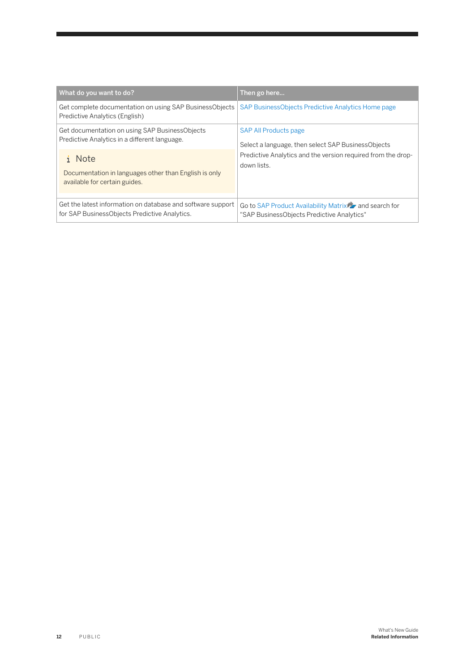| What do you want to do?                                                                                      | Then go here                                                                                          |
|--------------------------------------------------------------------------------------------------------------|-------------------------------------------------------------------------------------------------------|
| Get complete documentation on using SAP BusinessObjects<br>Predictive Analytics (English)                    | SAP BusinessObjects Predictive Analytics Home page                                                    |
| Get documentation on using SAP BusinessObjects<br>Predictive Analytics in a different language.              | <b>SAP All Products page</b><br>Select a language, then select SAP BusinessObjects                    |
| <b>Note</b><br>Documentation in languages other than English is only<br>available for certain guides.        | Predictive Analytics and the version required from the drop-<br>down lists.                           |
| Get the latest information on database and software support<br>for SAP BusinessObjects Predictive Analytics. | Go to SAP Product Availability Matrix 27 and search for<br>"SAP BusinessObjects Predictive Analytics" |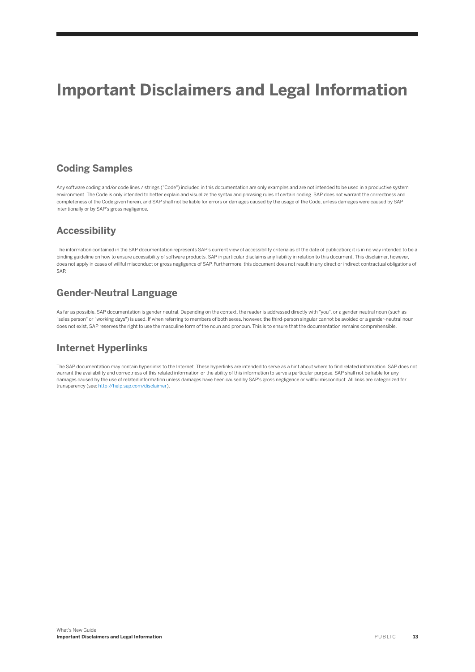## **Important Disclaimers and Legal Information**

## **Coding Samples**

Any software coding and/or code lines / strings ("Code") included in this documentation are only examples and are not intended to be used in a productive system environment. The Code is only intended to better explain and visualize the syntax and phrasing rules of certain coding. SAP does not warrant the correctness and completeness of the Code given herein, and SAP shall not be liable for errors or damages caused by the usage of the Code, unless damages were caused by SAP intentionally or by SAP's gross negligence.

## **Accessibility**

The information contained in the SAP documentation represents SAP's current view of accessibility criteria as of the date of publication; it is in no way intended to be a binding guideline on how to ensure accessibility of software products. SAP in particular disclaims any liability in relation to this document. This disclaimer, however, does not apply in cases of willful misconduct or gross negligence of SAP. Furthermore, this document does not result in any direct or indirect contractual obligations of SAP.

## **Gender-Neutral Language**

As far as possible, SAP documentation is gender neutral. Depending on the context, the reader is addressed directly with "you", or a gender-neutral noun (such as "sales person" or "working days") is used. If when referring to members of both sexes, however, the third-person singular cannot be avoided or a gender-neutral noun does not exist, SAP reserves the right to use the masculine form of the noun and pronoun. This is to ensure that the documentation remains comprehensible

## **Internet Hyperlinks**

The SAP documentation may contain hyperlinks to the Internet. These hyperlinks are intended to serve as a hint about where to find related information. SAP does not warrant the availability and correctness of this related information or the ability of this information to serve a particular purpose. SAP shall not be liable for any damages caused by the use of related information unless damages have been caused by SAP's gross negligence or willful misconduct. All links are categorized for transparency (see: [http://help.sap.com/disclaimer](http://help.sap.com/disclaimer/)).